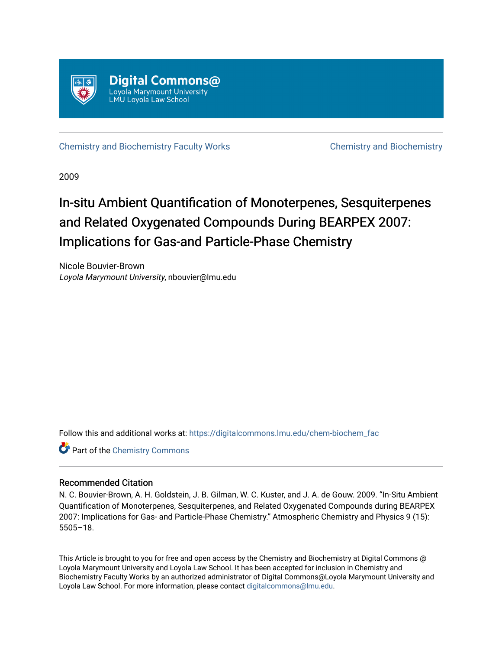

[Chemistry and Biochemistry Faculty Works](https://digitalcommons.lmu.edu/chem-biochem_fac) [Chemistry and Biochemistry](https://digitalcommons.lmu.edu/chem-biochem) 

2009

# In-situ Ambient Quantification of Monoterpenes, Sesquiterpenes and Related Oxygenated Compounds During BEARPEX 2007: Implications for Gas-and Particle-Phase Chemistry

Nicole Bouvier-Brown Loyola Marymount University, nbouvier@lmu.edu

Follow this and additional works at: [https://digitalcommons.lmu.edu/chem-biochem\\_fac](https://digitalcommons.lmu.edu/chem-biochem_fac?utm_source=digitalcommons.lmu.edu%2Fchem-biochem_fac%2F25&utm_medium=PDF&utm_campaign=PDFCoverPages) 

Part of the [Chemistry Commons](http://network.bepress.com/hgg/discipline/131?utm_source=digitalcommons.lmu.edu%2Fchem-biochem_fac%2F25&utm_medium=PDF&utm_campaign=PDFCoverPages) 

# Recommended Citation

N. C. Bouvier-Brown, A. H. Goldstein, J. B. Gilman, W. C. Kuster, and J. A. de Gouw. 2009. "In-Situ Ambient Quantification of Monoterpenes, Sesquiterpenes, and Related Oxygenated Compounds during BEARPEX 2007: Implications for Gas- and Particle-Phase Chemistry." Atmospheric Chemistry and Physics 9 (15): 5505–18.

This Article is brought to you for free and open access by the Chemistry and Biochemistry at Digital Commons @ Loyola Marymount University and Loyola Law School. It has been accepted for inclusion in Chemistry and Biochemistry Faculty Works by an authorized administrator of Digital Commons@Loyola Marymount University and Loyola Law School. For more information, please contact [digitalcommons@lmu.edu](mailto:digitalcommons@lmu.edu).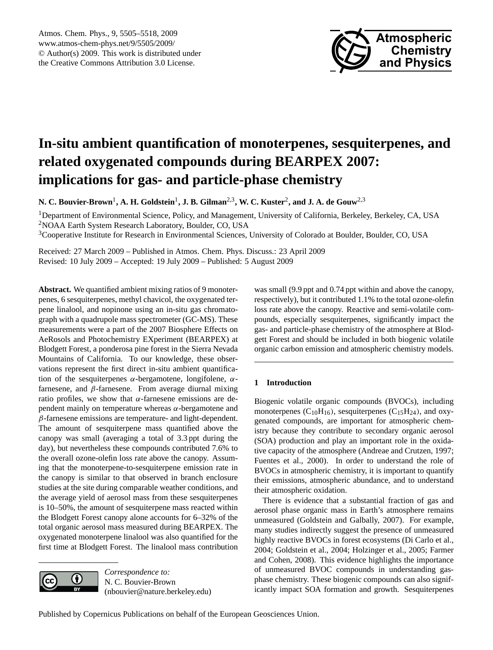

# <span id="page-1-0"></span>**In-situ ambient quantification of monoterpenes, sesquiterpenes, and related oxygenated compounds during BEARPEX 2007: implications for gas- and particle-phase chemistry**

**N. C. Bouvier-Brown**<sup>1</sup> **, A. H. Goldstein**<sup>1</sup> **, J. B. Gilman**2,3**, W. C. Kuster**<sup>2</sup> **, and J. A. de Gouw**2,3

<sup>1</sup>Department of Environmental Science, Policy, and Management, University of California, Berkeley, Berkeley, CA, USA <sup>2</sup>NOAA Earth System Research Laboratory, Boulder, CO, USA

<sup>3</sup>Cooperative Institute for Research in Environmental Sciences, University of Colorado at Boulder, Boulder, CO, USA

Received: 27 March 2009 – Published in Atmos. Chem. Phys. Discuss.: 23 April 2009 Revised: 10 July 2009 – Accepted: 19 July 2009 – Published: 5 August 2009

**Abstract.** We quantified ambient mixing ratios of 9 monoterpenes, 6 sesquiterpenes, methyl chavicol, the oxygenated terpene linalool, and nopinone using an in-situ gas chromatograph with a quadrupole mass spectrometer (GC-MS). These measurements were a part of the 2007 Biosphere Effects on AeRosols and Photochemistry EXperiment (BEARPEX) at Blodgett Forest, a ponderosa pine forest in the Sierra Nevada Mountains of California. To our knowledge, these observations represent the first direct in-situ ambient quantification of the sesquiterpenes  $\alpha$ -bergamotene, longifolene,  $\alpha$ farnesene, and  $\beta$ -farnesene. From average diurnal mixing ratio profiles, we show that α-farnesene emissions are dependent mainly on temperature whereas  $α$ -bergamotene and  $\beta$ -farnesene emissions are temperature- and light-dependent. The amount of sesquiterpene mass quantified above the canopy was small (averaging a total of 3.3 ppt during the day), but nevertheless these compounds contributed 7.6% to the overall ozone-olefin loss rate above the canopy. Assuming that the monoterpene-to-sesquiterpene emission rate in the canopy is similar to that observed in branch enclosure studies at the site during comparable weather conditions, and the average yield of aerosol mass from these sesquiterpenes is 10–50%, the amount of sesquiterpene mass reacted within the Blodgett Forest canopy alone accounts for 6–32% of the total organic aerosol mass measured during BEARPEX. The oxygenated monoterpene linalool was also quantified for the first time at Blodgett Forest. The linalool mass contribution



*Correspondence to:* N. C. Bouvier-Brown (nbouvier@nature.berkeley.edu)

was small (9.9 ppt and 0.74 ppt within and above the canopy, respectively), but it contributed 1.1% to the total ozone-olefin loss rate above the canopy. Reactive and semi-volatile compounds, especially sesquiterpenes, significantly impact the gas- and particle-phase chemistry of the atmosphere at Blodgett Forest and should be included in both biogenic volatile organic carbon emission and atmospheric chemistry models.

# **1 Introduction**

Biogenic volatile organic compounds (BVOCs), including monoterpenes  $(C_{10}H_{16})$ , sesquiterpenes  $(C_{15}H_{24})$ , and oxygenated compounds, are important for atmospheric chemistry because they contribute to secondary organic aerosol (SOA) production and play an important role in the oxidative capacity of the atmosphere (Andreae and Crutzen, 1997; Fuentes et al., 2000). In order to understand the role of BVOCs in atmospheric chemistry, it is important to quantify their emissions, atmospheric abundance, and to understand their atmospheric oxidation.

There is evidence that a substantial fraction of gas and aerosol phase organic mass in Earth's atmosphere remains unmeasured (Goldstein and Galbally, 2007). For example, many studies indirectly suggest the presence of unmeasured highly reactive BVOCs in forest ecosystems (Di Carlo et al., 2004; Goldstein et al., 2004; Holzinger et al., 2005; Farmer and Cohen, 2008). This evidence highlights the importance of unmeasured BVOC compounds in understanding gasphase chemistry. These biogenic compounds can also significantly impact SOA formation and growth. Sesquiterpenes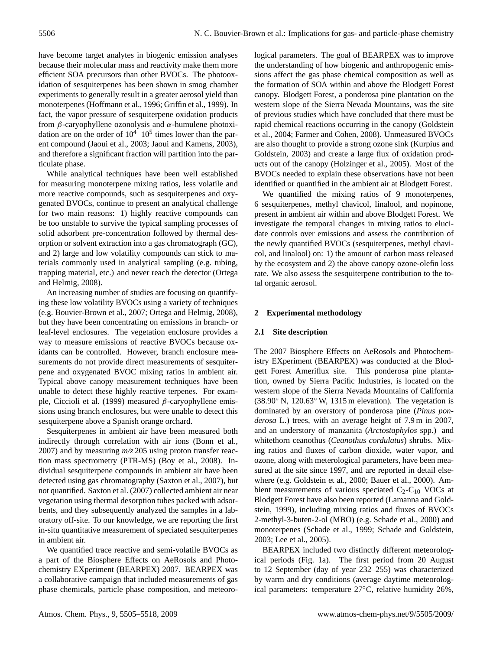have become target analytes in biogenic emission analyses because their molecular mass and reactivity make them more efficient SOA precursors than other BVOCs. The photooxidation of sesquiterpenes has been shown in smog chamber experiments to generally result in a greater aerosol yield than monoterpenes (Hoffmann et al., 1996; Griffin et al., 1999). In fact, the vapor pressure of sesquiterpene oxidation products from β-caryophyllene ozonolysis and α-humulene photoxidation are on the order of  $10^4 - 10^5$  times lower than the parent compound (Jaoui et al., 2003; Jaoui and Kamens, 2003), and therefore a significant fraction will partition into the particulate phase.

While analytical techniques have been well established for measuring monoterpene mixing ratios, less volatile and more reactive compounds, such as sesquiterpenes and oxygenated BVOCs, continue to present an analytical challenge for two main reasons: 1) highly reactive compounds can be too unstable to survive the typical sampling processes of solid adsorbent pre-concentration followed by thermal desorption or solvent extraction into a gas chromatograph (GC), and 2) large and low volatility compounds can stick to materials commonly used in analytical sampling (e.g. tubing, trapping material, etc.) and never reach the detector (Ortega and Helmig, 2008).

An increasing number of studies are focusing on quantifying these low volatility BVOCs using a variety of techniques (e.g. Bouvier-Brown et al., 2007; Ortega and Helmig, 2008), but they have been concentrating on emissions in branch- or leaf-level enclosures. The vegetation enclosure provides a way to measure emissions of reactive BVOCs because oxidants can be controlled. However, branch enclosure measurements do not provide direct measurements of sesquiterpene and oxygenated BVOC mixing ratios in ambient air. Typical above canopy measurement techniques have been unable to detect these highly reactive terpenes. For example, Ciccioli et al. (1999) measured  $\beta$ -caryophyllene emissions using branch enclosures, but were unable to detect this sesquiterpene above a Spanish orange orchard.

Sesquiterpenes in ambient air have been measured both indirectly through correlation with air ions (Bonn et al., 2007) and by measuring *m/z* 205 using proton transfer reaction mass spectrometry (PTR-MS) (Boy et al., 2008). Individual sesquiterpene compounds in ambient air have been detected using gas chromatography (Saxton et al., 2007), but not quantified. Saxton et al. (2007) collected ambient air near vegetation using thermal desorption tubes packed with adsorbents, and they subsequently analyzed the samples in a laboratory off-site. To our knowledge, we are reporting the first in-situ quantitative measurement of speciated sesquiterpenes in ambient air.

We quantified trace reactive and semi-volatile BVOCs as a part of the Biosphere Effects on AeRosols and Photochemistry EXperiment (BEARPEX) 2007. BEARPEX was a collaborative campaign that included measurements of gas phase chemicals, particle phase composition, and meteorological parameters. The goal of BEARPEX was to improve the understanding of how biogenic and anthropogenic emissions affect the gas phase chemical composition as well as the formation of SOA within and above the Blodgett Forest canopy. Blodgett Forest, a ponderosa pine plantation on the western slope of the Sierra Nevada Mountains, was the site of previous studies which have concluded that there must be rapid chemical reactions occurring in the canopy (Goldstein et al., 2004; Farmer and Cohen, 2008). Unmeasured BVOCs are also thought to provide a strong ozone sink (Kurpius and Goldstein, 2003) and create a large flux of oxidation products out of the canopy (Holzinger et al., 2005). Most of the BVOCs needed to explain these observations have not been identified or quantified in the ambient air at Blodgett Forest.

We quantified the mixing ratios of 9 monoterpenes, 6 sesquiterpenes, methyl chavicol, linalool, and nopinone, present in ambient air within and above Blodgett Forest. We investigate the temporal changes in mixing ratios to elucidate controls over emissions and assess the contribution of the newly quantified BVOCs (sesquiterpenes, methyl chavicol, and linalool) on: 1) the amount of carbon mass released by the ecosystem and 2) the above canopy ozone-olefin loss rate. We also assess the sesquiterpene contribution to the total organic aerosol.

# **2 Experimental methodology**

# **2.1 Site description**

The 2007 Biosphere Effects on AeRosols and Photochemistry EXperiment (BEARPEX) was conducted at the Blodgett Forest Ameriflux site. This ponderosa pine plantation, owned by Sierra Pacific Industries, is located on the western slope of the Sierra Nevada Mountains of California (38.90◦ N, 120.63◦ W, 1315 m elevation). The vegetation is dominated by an overstory of ponderosa pine (*Pinus ponderosa* L.) trees, with an average height of 7.9 m in 2007, and an understory of manzanita (*Arctostaphylos* spp.) and whitethorn ceanothus (*Ceanothus cordulatus*) shrubs. Mixing ratios and fluxes of carbon dioxide, water vapor, and ozone, along with meterological parameters, have been measured at the site since 1997, and are reported in detail elsewhere (e.g. Goldstein et al., 2000; Bauer et al., 2000). Ambient measurements of various speciated  $C_2-C_{10}$  VOCs at Blodgett Forest have also been reported (Lamanna and Goldstein, 1999), including mixing ratios and fluxes of BVOCs 2-methyl-3-buten-2-ol (MBO) (e.g. Schade et al., 2000) and monoterpenes (Schade et al., 1999; Schade and Goldstein, 2003; Lee et al., 2005).

BEARPEX included two distinctly different meteorological periods (Fig. 1a). The first period from 20 August to 12 September (day of year 232–255) was characterized by warm and dry conditions (average daytime meteorological parameters: temperature 27◦C, relative humidity 26%,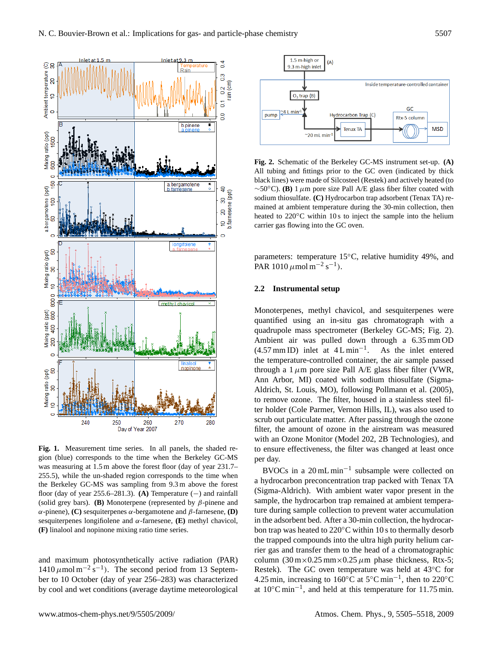

**Fig. 1.** Measurement time series. In all panels, the shaded region (blue) corresponds to the time when the Berkeley GC-MS was measuring at 1.5 m above the forest floor (day of year 231.7– 255.5), while the un-shaded region corresponds to the time when the Berkeley GC-MS was sampling from 9.3 m above the forest floor (day of year  $255.6-281.3$ ). **(A)** Temperature  $(-)$  and rainfall (solid grey bars). **(B)** Monoterpene (represented by β-pinene and α-pinene), **(C)** sesquiterpenes α-bergamotene and β-farnesene, **(D)** sesquiterpenes longifiolene and α-farnesene, **(E)** methyl chavicol, **(F)** linalool and nopinone mixing ratio time series.

and maximum photosynthetically active radiation (PAR)  $1410 \mu$ mol m<sup>-2</sup> s<sup>-1</sup>). The second period from 13 September to 10 October (day of year 256–283) was characterized by cool and wet conditions (average daytime meteorological



**Fig. 2.** Schematic of the Berkeley GC-MS instrument set-up. **(A)** All tubing and fittings prior to the GC oven (indicated by thick black lines) were made of Silcosteel (Restek) and actively heated (to  $\sim$ 50 $\degree$ C). **(B)** 1  $\mu$ m pore size Pall A/E glass fiber filter coated with sodium thiosulfate. **(C)** Hydrocarbon trap adsorbent (Tenax TA) remained at ambient temperature during the 30-min collection, then heated to 220<sup>°</sup>C within 10 s to inject the sample into the helium carrier gas flowing into the GC oven.

parameters: temperature 15°C, relative humidity 49%, and PAR 1010  $\mu$  mol m<sup>-2</sup> s<sup>-1</sup>).

## **2.2 Instrumental setup**

Monoterpenes, methyl chavicol, and sesquiterpenes were quantified using an in-situ gas chromatograph with a quadrupole mass spectrometer (Berkeley GC-MS; Fig. 2). Ambient air was pulled down through a 6.35 mm OD  $(4.57 \text{ mm ID})$  inlet at  $4 \text{ L min}^{-1}$ . . As the inlet entered the temperature-controlled container, the air sample passed through a 1  $\mu$ m pore size Pall A/E glass fiber filter (VWR, Ann Arbor, MI) coated with sodium thiosulfate (Sigma-Aldrich, St. Louis, MO), following Pollmann et al. (2005), to remove ozone. The filter, housed in a stainless steel filter holder (Cole Parmer, Vernon Hills, IL), was also used to scrub out particulate matter. After passing through the ozone filter, the amount of ozone in the airstream was measured with an Ozone Monitor (Model 202, 2B Technologies), and to ensure effectiveness, the filter was changed at least once per day.

BVOCs in a 20 mL min−<sup>1</sup> subsample were collected on a hydrocarbon preconcentration trap packed with Tenax TA (Sigma-Aldrich). With ambient water vapor present in the sample, the hydrocarbon trap remained at ambient temperature during sample collection to prevent water accumulation in the adsorbent bed. After a 30-min collection, the hydrocarbon trap was heated to 220◦C within 10 s to thermally desorb the trapped compounds into the ultra high purity helium carrier gas and transfer them to the head of a chromatographic column  $(30 \text{ m} \times 0.25 \text{ mm} \times 0.25 \mu \text{m}$  phase thickness, Rtx-5; Restek). The GC oven temperature was held at 43◦C for 4.25 min, increasing to 160 $^{\circ}$ C at 5 $^{\circ}$ C min<sup>-1</sup>, then to 220 $^{\circ}$ C at 10◦C min−<sup>1</sup> , and held at this temperature for 11.75 min.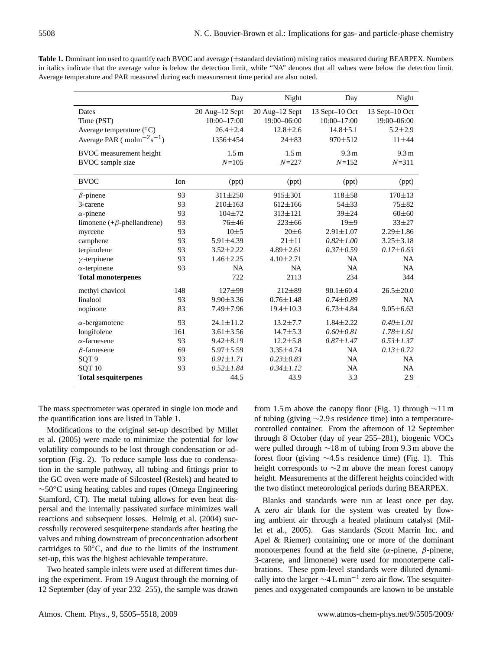Table 1. Dominant ion used to quantify each BVOC and average ( $\pm$ standard deviation) mixing ratios measured during BEARPEX. Numbers in italics indicate that the average value is below the detection limit, while "NA" denotes that all values were below the detection limit. Average temperature and PAR measured during each measurement time period are also noted.

|                                     |     | Day              | Night            | Day              | Night            |
|-------------------------------------|-----|------------------|------------------|------------------|------------------|
| Dates                               |     | 20 Aug-12 Sept   | 20 Aug-12 Sept   | 13 Sept-10 Oct   | 13 Sept-10 Oct   |
| Time (PST)                          |     | $10:00 - 17:00$  | 19:00-06:00      | $10:00 - 17:00$  | 19:00-06:00      |
| Average temperature $({}^{\circ}C)$ |     | $26.4 \pm 2.4$   | $12.8 \pm 2.6$   | $14.8 + 5.1$     | $5.2 \pm 2.9$    |
| Average PAR ( $molm-2s-1$ )         |     | 1356±454         | $24 + 83$        | $970 \pm 512$    | $11 + 44$        |
| BVOC measurement height             |     | 1.5 <sub>m</sub> | 1.5 <sub>m</sub> | 9.3 <sub>m</sub> | 9.3 <sub>m</sub> |
| BVOC sample size                    |     | $N = 105$        | $N = 227$        | $N = 152$        | $N = 311$        |
| <b>BVOC</b>                         | Ion | (ppt)            | (ppt)            | (ppt)            | (ppt)            |
| $\beta$ -pinene                     | 93  | $311 \pm 250$    | $915 \pm 301$    | $118 + 58$       | $170 \pm 13$     |
| 3-carene                            | 93  | $210\pm 163$     | $612 \pm 166$    | $54 + 33$        | $75 + 82$        |
| $\alpha$ -pinene                    | 93  | $104 + 72$       | $313 \pm 121$    | $39 + 24$        | $60 \pm 60$      |
| limonene (+ $\beta$ -phellandrene)  | 93  | $76 + 46$        | $223 + 66$       | $19+9$           | $33 + 27$        |
| myrcene                             | 93  | $10+5$           | $20 \pm 6$       | $2.91 \pm 1.07$  | $2.29 \pm 1.86$  |
| camphene                            | 93  | $5.91 \pm 4.39$  | $21 \pm 11$      | $0.82 \pm 1.00$  | $3.25 \pm 3.18$  |
| terpinolene                         | 93  | $3.52 \pm 2.22$  | $4.89 \pm 2.61$  | $0.37 \pm 0.59$  | $0.17 \pm 0.63$  |
| $\gamma$ -terpinene                 | 93  | $1.46 \pm 2.25$  | $4.10 \pm 2.71$  | NA               | <b>NA</b>        |
| $\alpha$ -terpinene                 | 93  | NA               | <b>NA</b>        | <b>NA</b>        | <b>NA</b>        |
| <b>Total monoterpenes</b>           |     | 722              | 2113             | 234              | 344              |
| methyl chavicol                     | 148 | $127 + 99$       | $212\pm89$       | $90.1 \pm 60.4$  | $26.5 \pm 20.0$  |
| linalool                            | 93  | $9.90 \pm 3.36$  | $0.76 \pm 1.48$  | $0.74 \pm 0.89$  | <b>NA</b>        |
| nopinone                            | 83  | 7.49±7.96        | $19.4 \pm 10.3$  | $6.73{\pm}4.84$  | $9.05 \pm 6.63$  |
| $\alpha$ -bergamotene               | 93  | $24.1 \pm 11.2$  | $13.2 \pm 7.7$   | $1.84 \pm 2.22$  | $0.40 \pm 1.01$  |
| longifolene                         | 161 | $3.61 \pm 3.56$  | $14.7 \pm 5.3$   | $0.60 \pm 0.81$  | $1.78 \pm 1.61$  |
| $\alpha$ -farnesene                 | 93  | $9.42 \pm 8.19$  | $12.2 \pm 5.8$   | $0.87 \pm 1.47$  | $0.53 \pm 1.37$  |
| $\beta$ -farnesene                  | 69  | $5.97 \pm 5.59$  | $3.35 \pm 4.74$  | NA               | $0.13 \pm 0.72$  |
| SQT <sub>9</sub>                    | 93  | $0.91 \pm 1.71$  | $0.23 \pm 0.83$  | <b>NA</b>        | NA               |
| SQT <sub>10</sub>                   | 93  | $0.52 \pm 1.84$  | $0.34 \pm 1.12$  | <b>NA</b>        | <b>NA</b>        |
| <b>Total sesquiterpenes</b>         |     | 44.5             | 43.9             | 3.3              | 2.9              |

The mass spectrometer was operated in single ion mode and the quantification ions are listed in Table 1.

Modifications to the original set-up described by Millet et al. (2005) were made to minimize the potential for low volatility compounds to be lost through condensation or adsorption (Fig. 2). To reduce sample loss due to condensation in the sample pathway, all tubing and fittings prior to the GC oven were made of Silcosteel (Restek) and heated to ∼50◦C using heating cables and ropes (Omega Engineering Stamford, CT). The metal tubing allows for even heat dispersal and the internally passivated surface minimizes wall reactions and subsequent losses. Helmig et al. (2004) successfully recovered sesquiterpene standards after heating the valves and tubing downstream of preconcentration adsorbent cartridges to 50◦C, and due to the limits of the instrument set-up, this was the highest achievable temperature.

Two heated sample inlets were used at different times during the experiment. From 19 August through the morning of 12 September (day of year 232–255), the sample was drawn

from 1.5 m above the canopy floor (Fig. 1) through  $\sim$ 11 m of tubing (giving ∼2.9 s residence time) into a temperaturecontrolled container. From the afternoon of 12 September through 8 October (day of year 255–281), biogenic VOCs were pulled through ∼18 m of tubing from 9.3 m above the forest floor (giving ∼4.5 s residence time) (Fig. 1). This height corresponds to  $\sim$ 2 m above the mean forest canopy height. Measurements at the different heights coincided with the two distinct meteorological periods during BEARPEX.

Blanks and standards were run at least once per day. A zero air blank for the system was created by flowing ambient air through a heated platinum catalyst (Millet et al., 2005). Gas standards (Scott Marrin Inc. and Apel & Riemer) containing one or more of the dominant monoterpenes found at the field site ( $\alpha$ -pinene,  $\beta$ -pinene, 3-carene, and limonene) were used for monoterpene calibrations. These ppm-level standards were diluted dynamically into the larger  $\sim$ 4 L min<sup>-1</sup> zero air flow. The sesquiterpenes and oxygenated compounds are known to be unstable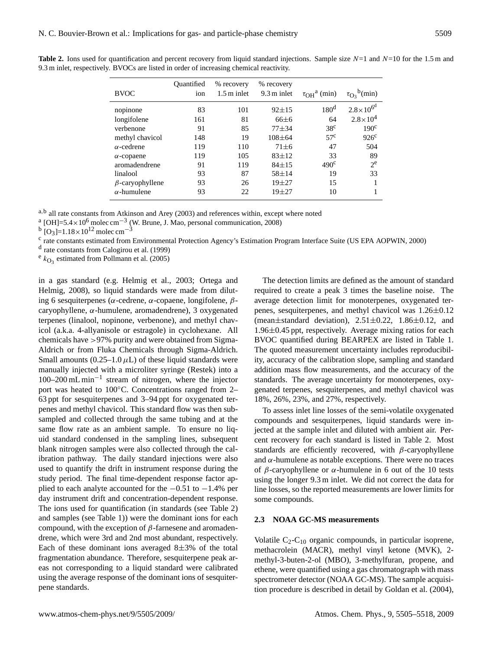|                        | Ouantified | % recovery            | % recovery            |                                         |                                             |
|------------------------|------------|-----------------------|-----------------------|-----------------------------------------|---------------------------------------------|
| <b>BVOC</b>            | ion        | $1.5 \text{ m}$ inlet | $9.3 \text{ m}$ inlet | $\tau$ <sub>OH</sub> <sup>a</sup> (min) | $b$ <sup>b</sup> (min)<br>$\tau_{\Omega_2}$ |
| nopinone               | 83         | 101                   | $92 + 15$             | 180 <sup>d</sup>                        | $2.8 \times 10^{6^d}$                       |
| longifolene            | 161        | 81                    | $66 \pm 6$            | 64                                      | $2.8 \times 10^{4}$                         |
| verbenone              | 91         | 85                    | $77 + 34$             | 38 <sup>c</sup>                         | 190 <sup>c</sup>                            |
| methyl chavicol        | 148        | 19                    | $108 + 64$            | 57 <sup>c</sup>                         | $926^{\circ}$                               |
| $\alpha$ -cedrene      | 119        | 110                   | $71 \pm 6$            | 47                                      | 504                                         |
| $\alpha$ -copaene      | 119        | 105                   | $83 + 12$             | 33                                      | 89                                          |
| aromadendrene          | 91         | 119                   | $84 + 15$             | 490 <sup>c</sup>                        | $2^e$                                       |
| linalool               | 93         | 87                    | $58 + 14$             | 19                                      | 33                                          |
| $\beta$ -caryophyllene | 93         | 26                    | $19 + 27$             | 15                                      |                                             |
| $\alpha$ -humulene     | 93         | 22                    | $19 + 27$             | 10                                      |                                             |

**Table 2.** Ions used for quantification and percent recovery from liquid standard injections. Sample size  $N=1$  and  $N=10$  for the 1.5 m and 9.3 m inlet, respectively. BVOCs are listed in order of increasing chemical reactivity.

a,b all rate constants from Atkinson and Arey (2003) and references within, except where noted

<sup>a</sup> [OH]=5.4×10<sup>6</sup> molec cm<sup>-3</sup> (W. Brune, J. Mao, personal communication, 2008)

<sup>b</sup> [O<sub>3</sub>]=1.18×10<sup>12</sup> molec cm<sup>-3</sup>

<sup>c</sup> rate constants estimated from Environmental Protection Agency's Estimation Program Interface Suite (US EPA AOPWIN, 2000)

d rate constants from Calogirou et al. (1999)

 $e_{k_{\text{O}_3}}$  estimated from Pollmann et al. (2005)

in a gas standard (e.g. Helmig et al., 2003; Ortega and Helmig, 2008), so liquid standards were made from diluting 6 sesquiterpenes (α-cedrene, α-copaene, longifolene,  $β$ caryophyllene, α-humulene, aromadendrene), 3 oxygenated terpenes (linalool, nopinone, verbenone), and methyl chavicol (a.k.a. 4-allyanisole or estragole) in cyclohexane. All chemicals have >97% purity and were obtained from Sigma-Aldrich or from Fluka Chemicals through Sigma-Aldrich. Small amounts (0.25–1.0  $\mu$ L) of these liquid standards were manually injected with a microliter syringe (Restek) into a 100–200 mL min−<sup>1</sup> stream of nitrogen, where the injector port was heated to 100◦C. Concentrations ranged from 2– 63 ppt for sesquiterpenes and 3–94 ppt for oxygenated terpenes and methyl chavicol. This standard flow was then subsampled and collected through the same tubing and at the same flow rate as an ambient sample. To ensure no liquid standard condensed in the sampling lines, subsequent blank nitrogen samples were also collected through the calibration pathway. The daily standard injections were also used to quantify the drift in instrument response during the study period. The final time-dependent response factor applied to each analyte accounted for the  $-0.51$  to  $-1.4\%$  per day instrument drift and concentration-dependent response. The ions used for quantification (in standards (see Table 2) and samples (see Table 1)) were the dominant ions for each compound, with the exception of  $β$ -farnesene and aromadendrene, which were 3rd and 2nd most abundant, respectively. Each of these dominant ions averaged  $8\pm3\%$  of the total fragmentation abundance. Therefore, sesquiterpene peak areas not corresponding to a liquid standard were calibrated using the average response of the dominant ions of sesquiterpene standards.

The detection limits are defined as the amount of standard required to create a peak 3 times the baseline noise. The average detection limit for monoterpenes, oxygenated terpenes, sesquiterpenes, and methyl chavicol was 1.26±0.12 (mean $\pm$ standard deviation), 2.51 $\pm$ 0.22, 1.86 $\pm$ 0.12, and 1.96±0.45 ppt, respectively. Average mixing ratios for each BVOC quantified during BEARPEX are listed in Table 1. The quoted measurement uncertainty includes reproducibility, accuracy of the calibration slope, sampling and standard addition mass flow measurements, and the accuracy of the standards. The average uncertainty for monoterpenes, oxygenated terpenes, sesquiterpenes, and methyl chavicol was 18%, 26%, 23%, and 27%, respectively.

To assess inlet line losses of the semi-volatile oxygenated compounds and sesquiterpenes, liquid standards were injected at the sample inlet and diluted with ambient air. Percent recovery for each standard is listed in Table 2. Most standards are efficiently recovered, with  $\beta$ -caryophyllene and  $\alpha$ -humulene as notable exceptions. There were no traces of  $\beta$ -caryophyllene or  $\alpha$ -humulene in 6 out of the 10 tests using the longer 9.3 m inlet. We did not correct the data for line losses, so the reported measurements are lower limits for some compounds.

## **2.3 NOAA GC-MS measurements**

Volatile  $C_2-C_{10}$  organic compounds, in particular isoprene, methacrolein (MACR), methyl vinyl ketone (MVK), 2 methyl-3-buten-2-ol (MBO), 3-methylfuran, propene, and ethene, were quantified using a gas chromatograph with mass spectrometer detector (NOAA GC-MS). The sample acquisition procedure is described in detail by Goldan et al. (2004),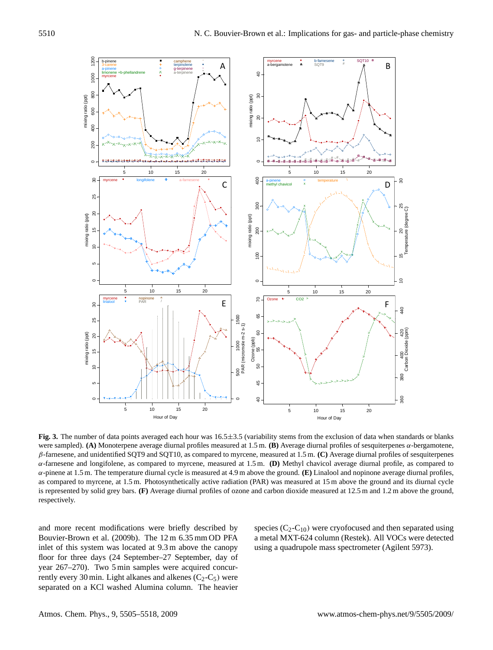

**Fig. 3.** The number of data points averaged each hour was 16.5±3.5 (variability stems from the exclusion of data when standards or blanks were sampled). **(A)** Monoterpene average diurnal profiles measured at 1.5 m. **(B)** Average diurnal profiles of sesquiterpenes α-bergamotene, β-farnesene, and unidentified SQT9 and SQT10, as compared to myrcene, measured at 1.5 m. **(C)** Average diurnal profiles of sesquiterpenes α-farnesene and longifolene, as compared to myrcene, measured at 1.5 m. **(D)** Methyl chavicol average diurnal profile, as compared to α-pinene at 1.5 m. The temperature diurnal cycle is measured at 4.9 m above the ground. **(E)** Linalool and nopinone average diurnal profiles, as compared to myrcene, at 1.5 m. Photosynthetically active radiation (PAR) was measured at 15 m above the ground and its diurnal cycle is represented by solid grey bars. **(F)** Average diurnal profiles of ozone and carbon dioxide measured at 12.5 m and 1.2 m above the ground, respectively.

and more recent modifications were briefly described by Bouvier-Brown et al. (2009b). The 12 m 6.35 mm OD PFA inlet of this system was located at 9.3 m above the canopy floor for three days (24 September–27 September, day of year 267–270). Two 5 min samples were acquired concurrently every 30 min. Light alkanes and alkenes  $(C_2-C_5)$  were separated on a KCl washed Alumina column. The heavier species  $(C_2-C_{10})$  were cryofocused and then separated using a metal MXT-624 column (Restek). All VOCs were detected using a quadrupole mass spectrometer (Agilent 5973).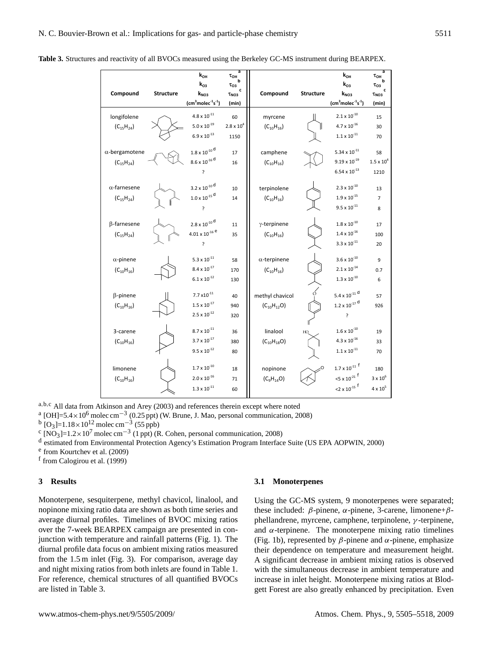|                       |                  | $k_{OH}$                                      | a<br>$\tau_{\text{OH}}$ |                     |                  | $k_{OH}$                                     | a<br>$\tau_{\text{OH}}$ |
|-----------------------|------------------|-----------------------------------------------|-------------------------|---------------------|------------------|----------------------------------------------|-------------------------|
|                       |                  | $k_{03}$                                      | $\tau_{O3}$<br>c        |                     |                  | $k_{03}$                                     | $\tau_{\rm O3}$<br>c    |
| Compound              | <b>Structure</b> | $k_{NO3}$                                     | $\tau_{NO3}$            | Compound            | <b>Structure</b> | $k_{NO3}$                                    | $\tau_{NO3}$            |
|                       |                  | $\text{(cm}^3\text{molec}^{-1}\text{s}^{-1})$ | (min)                   |                     |                  | $\text{(cm}^3\text{molec}^{-1}\text{s}^{-1}$ | (min)                   |
| longifolene           |                  | $4.8\times10^{\text{-}11}$                    | 60                      | myrcene             |                  | $2.1 \times 10^{-10}$                        | 15                      |
| $(C_{15}H_{24})$      |                  | $5.0\times10^{\text{-}19}$                    | $2.8 \times 10^{4}$     | $(C_{10}H_{16})$    |                  | $4.7\times10^{\text{-}16}$                   | 30                      |
|                       |                  | $6.9\times10^{\text{-}13}$                    | 1150                    |                     |                  | $1.1\times10^{\text{-}11}$                   | 70                      |
| $\alpha$ -bergamotene |                  | $1.8\times{10}^{\text{-10}}$ $^\text{d}$      | 17                      | camphene            |                  | $5.34 \times 10^{-11}$                       | 58                      |
| $(C_{15}H_{24})$      |                  | $8.6\times10^{\text{-}16}\,^{\text{d}}$       | 16                      | $(C_{10}H_{16})$    |                  | $9.19 \times 10^{-19}$                       | $1.5 \times 10^{4}$     |
|                       |                  | ?                                             |                         |                     |                  | $6.54 \times 10^{-13}$                       | 1210                    |
| $\alpha$ -farnesene   |                  | $3.2\times10^{\text{-}10}\,^{\text{d}}$       | 10                      | terpinolene         |                  | $2.3 \times 10^{-10}$                        | 13                      |
| $(C_{15}H_{24})$      |                  | $1.0 \times 10^{-15}$ d                       | 14                      | $(C_{10}H_{16})$    |                  | $1.9\times10^{\text{-}15}$                   | $\overline{7}$          |
|                       |                  | 5                                             |                         |                     |                  | $9.5 \times 10^{-11}$                        | 8                       |
| β-farnesene           |                  | $2.8\times10^{-10}$ d                         | 11                      | $\gamma$ -terpinene |                  | $1.8 \times 10^{-10}$                        | 17                      |
| $(C_{15}H_{24})$      |                  | $4.01\times10^{\text{-}16}\,{}^{\text{e}}$    | 35                      | $(C_{10}H_{16})$    |                  | $1.4 \times 10^{-16}$                        | 100                     |
|                       |                  | ?                                             |                         |                     |                  | $3.3 \times 10^{-11}$                        | 20                      |
| $\alpha$ -pinene      |                  | $5.3\times10^{\text{-}11}$                    | 58                      | $\alpha$ -terpinene |                  | $3.6 \times 10^{-10}$                        | 9                       |
| $(C_{10}H_{16})$      |                  | $8.4 \times 10^{-17}$                         | 170                     | $(C_{10}H_{16})$    |                  | $2.1 \times 10^{-14}$                        | 0.7                     |
|                       |                  | $6.1 \times 10^{-12}$                         | 130                     |                     |                  | $1.3\times10^{\text{-}10}$                   | 6                       |
| $\beta$ -pinene       |                  | $7.7 \times 10^{-11}$                         | 40                      | methyl chavicol     |                  | 5.4 x $10^{-11}$ d                           | 57                      |
| $(C_{10}H_{16})$      |                  | $1.5 \times 10^{-17}$                         | 940                     | $(C_{10}H_{12}O)$   |                  | $1.2 \times 10^{-17}$ d                      | 926                     |
|                       |                  | $2.5 \times 10^{-12}$                         | 320                     |                     |                  | $\overline{?}$                               |                         |
| 3-carene              |                  | $8.7 \times 10^{-11}$                         | 36                      | linalool            |                  | $1.6 \times 10^{-10}$                        | 19                      |
| $(C_{10}H_{16})$      |                  | $3.7 \times 10^{-17}$                         | 380                     | $(C_{10}H_{18}O)$   |                  | $4.3\times10^{\text{-}16}$                   | 33                      |
|                       |                  | $9.5 \times 10^{-12}$                         | 80                      |                     |                  | $1.1\times{10}^{41}$                         | 70                      |
| limonene              |                  | $1.7\times10^{\text{-}10}$                    | 18                      | nopinone            |                  | $1.7 \times 10^{-11}$ <sup>f</sup>           | 180                     |
| $(C_{10}H_{16})$      |                  | $2.0\times10^{\text{-}16}$                    | 71                      | $(C_9H_{14}O)$      |                  | $35 \times 10^{-21}$ f                       | $3 \times 10^6$         |
|                       |                  | $1.3\times10^{\text{-}11}$                    | 60                      |                     |                  | $12 \times 10^{-15}$ f                       | $4 \times 10^5$         |

 $\frac{1}{2}$  and Arey (2003) and references therein except where no <sup>a</sup>,b,<sup>c</sup> All data from Atkinson and Arey (2003) and references therein except where noted

<sup>a</sup> [OH]=5.4×10<sup>6</sup> molec cm<sup>-3</sup> (0.25 ppt) (W. Brune, J. Mao, personal communication, 2008)<br><sup>b</sup> [O<sub>3</sub>]=1.18×10<sup>12</sup> molec cm<sup>-3</sup> (55 ppb)

 $\frac{1}{2}$  [NO<sub>3</sub>]=1.18 × 10<sup>7</sup> molec cm<sup>-3</sup> (1 ppt) (R. Cohen, personal communication, 2008)  $\sum_{i=1}^{\infty}$  (1 ppt) (R. Cohen, personal communication, 2008)

d estimated from Environmental Protection Agency's Estimation Program Interface Suite (US EPA AOPWIN, 2000)

<sup>e</sup> from Kourtchev et al. (2009)

 $\ln (2009)$ <br> $\ln (1999)$ f from Calogirou et al. (1999)

#### **3 Results**

Monoterpene, sesquiterpene, methyl chavicol, linalool, and nopinone mixing ratio data are shown as both time series and average diurnal profiles. Timelines of BVOC mixing ratios over the 7-week BEARPEX campaign are presented in conjunction with temperature and rainfall patterns (Fig. 1). The diurnal profile data focus on ambient mixing ratios measured from the 1.5 m inlet (Fig. 3). For comparison, average day and night mixing ratios from both inlets are found in Table 1. For reference, chemical structures of all quantified BVOCs are listed in Table 3.

#### **3.1 Monoterpenes**

Using the GC-MS system, 9 monoterpenes were separated; these included: β-pinene,  $\alpha$ -pinene, 3-carene, limonene+βphellandrene, myrcene, camphene, terpinolene, γ -terpinene, and  $\alpha$ -terpinene. The monoterpene mixing ratio timelines (Fig. 1b), represented by  $\beta$ -pinene and  $\alpha$ -pinene, emphasize their dependence on temperature and measurement height. A significant decrease in ambient mixing ratios is observed with the simultaneous decrease in ambient temperature and increase in inlet height. Monoterpene mixing ratios at Blodgett Forest are also greatly enhanced by precipitation. Even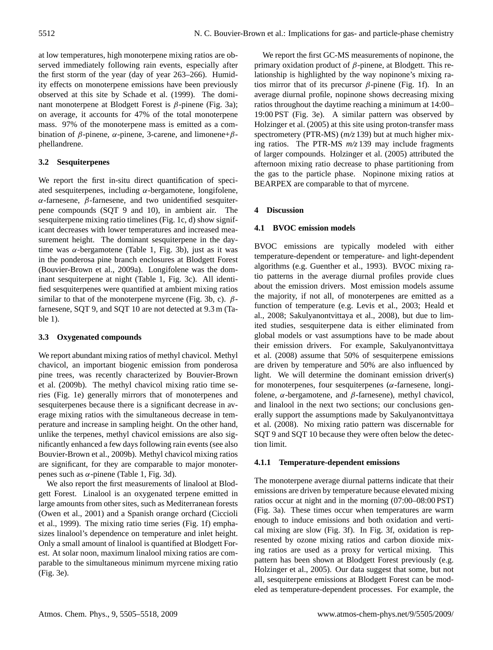at low temperatures, high monoterpene mixing ratios are observed immediately following rain events, especially after the first storm of the year (day of year 263–266). Humidity effects on monoterpene emissions have been previously observed at this site by Schade et al. (1999). The dominant monoterpene at Blodgett Forest is  $β$ -pinene (Fig. 3a); on average, it accounts for 47% of the total monoterpene mass. 97% of the monoterpene mass is emitted as a combination of  $β$ -pinene,  $α$ -pinene, 3-carene, and limonene+ $β$ phellandrene.

# **3.2 Sesquiterpenes**

We report the first in-situ direct quantification of speciated sesquiterpenes, including  $\alpha$ -bergamotene, longifolene, α-farnesene, β-farnesene, and two unidentified sesquiterpene compounds (SQT 9 and 10), in ambient air. The sesquiterpene mixing ratio timelines (Fig. 1c, d) show significant decreases with lower temperatures and increased measurement height. The dominant sesquiterpene in the daytime was  $\alpha$ -bergamotene (Table 1, Fig. 3b), just as it was in the ponderosa pine branch enclosures at Blodgett Forest (Bouvier-Brown et al., 2009a). Longifolene was the dominant sesquiterpene at night (Table 1, Fig. 3c). All identified sesquiterpenes were quantified at ambient mixing ratios similar to that of the monoterpene myrcene (Fig. 3b, c).  $\beta$ farnesene, SQT 9, and SQT 10 are not detected at 9.3 m (Table 1).

# **3.3 Oxygenated compounds**

We report abundant mixing ratios of methyl chavicol. Methyl chavicol, an important biogenic emission from ponderosa pine trees, was recently characterized by Bouvier-Brown et al. (2009b). The methyl chavicol mixing ratio time series (Fig. 1e) generally mirrors that of monoterpenes and sesquiterpenes because there is a significant decrease in average mixing ratios with the simultaneous decrease in temperature and increase in sampling height. On the other hand, unlike the terpenes, methyl chavicol emissions are also significantly enhanced a few days following rain events (see also Bouvier-Brown et al., 2009b). Methyl chavicol mixing ratios are significant, for they are comparable to major monoterpenes such as α-pinene (Table 1, Fig. 3d).

We also report the first measurements of linalool at Blodgett Forest. Linalool is an oxygenated terpene emitted in large amounts from other sites, such as Mediterranean forests (Owen et al., 2001) and a Spanish orange orchard (Ciccioli et al., 1999). The mixing ratio time series (Fig. 1f) emphasizes linalool's dependence on temperature and inlet height. Only a small amount of linalool is quantified at Blodgett Forest. At solar noon, maximum linalool mixing ratios are comparable to the simultaneous minimum myrcene mixing ratio (Fig. 3e).

We report the first GC-MS measurements of nopinone, the primary oxidation product of  $\beta$ -pinene, at Blodgett. This relationship is highlighted by the way nopinone's mixing ratios mirror that of its precursor  $\beta$ -pinene (Fig. 1f). In an average diurnal profile, nopinone shows decreasing mixing ratios throughout the daytime reaching a minimum at 14:00– 19:00 PST (Fig. 3e). A similar pattern was observed by Holzinger et al. (2005) at this site using proton-transfer mass spectrometery (PTR-MS) (*m/z* 139) but at much higher mixing ratios. The PTR-MS *m/z* 139 may include fragments of larger compounds. Holzinger et al. (2005) attributed the afternoon mixing ratio decrease to phase partitioning from the gas to the particle phase. Nopinone mixing ratios at BEARPEX are comparable to that of myrcene.

# **4 Discussion**

# **4.1 BVOC emission models**

BVOC emissions are typically modeled with either temperature-dependent or temperature- and light-dependent algorithms (e.g. Guenther et al., 1993). BVOC mixing ratio patterns in the average diurnal profiles provide clues about the emission drivers. Most emission models assume the majority, if not all, of monoterpenes are emitted as a function of temperature (e.g. Levis et al., 2003; Heald et al., 2008; Sakulyanontvittaya et al., 2008), but due to limited studies, sesquiterpene data is either eliminated from global models or vast assumptions have to be made about their emission drivers. For example, Sakulyanontvittaya et al. (2008) assume that 50% of sesquiterpene emissions are driven by temperature and 50% are also influenced by light. We will determine the dominant emission driver(s) for monoterpenes, four sesquiterpenes ( $\alpha$ -farnesene, longifolene,  $\alpha$ -bergamotene, and  $\beta$ -farnesene), methyl chavicol, and linalool in the next two sections; our conclusions generally support the assumptions made by Sakulyanontvittaya et al. (2008). No mixing ratio pattern was discernable for SQT 9 and SQT 10 because they were often below the detection limit.

# **4.1.1 Temperature-dependent emissions**

The monoterpene average diurnal patterns indicate that their emissions are driven by temperature because elevated mixing ratios occur at night and in the morning (07:00–08:00 PST) (Fig. 3a). These times occur when temperatures are warm enough to induce emissions and both oxidation and vertical mixing are slow (Fig. 3f). In Fig. 3f, oxidation is represented by ozone mixing ratios and carbon dioxide mixing ratios are used as a proxy for vertical mixing. This pattern has been shown at Blodgett Forest previously (e.g. Holzinger et al., 2005). Our data suggest that some, but not all, sesquiterpene emissions at Blodgett Forest can be modeled as temperature-dependent processes. For example, the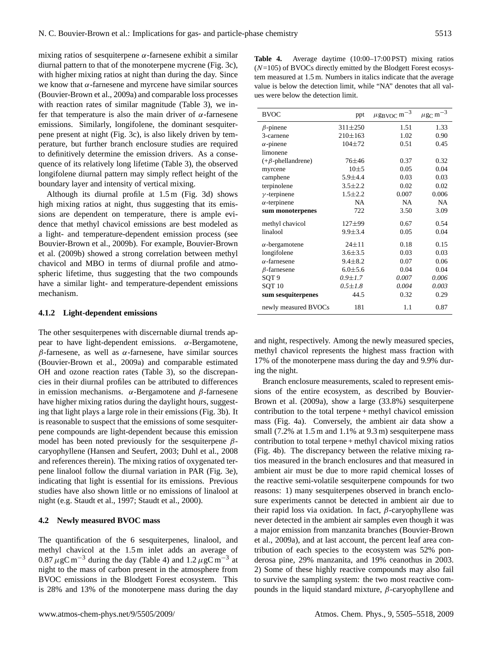mixing ratios of sesquiterpene  $\alpha$ -farnesene exhibit a similar diurnal pattern to that of the monoterpene mycrene (Fig. 3c), with higher mixing ratios at night than during the day. Since we know that  $\alpha$ -farnesene and myrcene have similar sources (Bouvier-Brown et al., 2009a) and comparable loss processes with reaction rates of similar magnitude (Table 3), we infer that temperature is also the main driver of  $\alpha$ -farnesene emissions. Similarly, longifolene, the dominant sesquiterpene present at night (Fig. 3c), is also likely driven by temperature, but further branch enclosure studies are required to definitively determine the emission drivers. As a consequence of its relatively long lifetime (Table 3), the observed longifolene diurnal pattern may simply reflect height of the boundary layer and intensity of vertical mixing.

Although its diurnal profile at 1.5 m (Fig. 3d) shows high mixing ratios at night, thus suggesting that its emissions are dependent on temperature, there is ample evidence that methyl chavicol emissions are best modeled as a light- and temperature-dependent emission process (see Bouvier-Brown et al., 2009b). For example, Bouvier-Brown et al. (2009b) showed a strong correlation between methyl chavicol and MBO in terms of diurnal profile and atmospheric lifetime, thus suggesting that the two compounds have a similar light- and temperature-dependent emissions mechanism.

### **4.1.2 Light-dependent emissions**

The other sesquiterpenes with discernable diurnal trends appear to have light-dependent emissions. α-Bergamotene, β-farnesene, as well as α-farnesene, have similar sources (Bouvier-Brown et al., 2009a) and comparable estimated OH and ozone reaction rates (Table 3), so the discrepancies in their diurnal profiles can be attributed to differences in emission mechanisms.  $α$ -Bergamotene and β-farnesene have higher mixing ratios during the daylight hours, suggesting that light plays a large role in their emissions (Fig. 3b). It is reasonable to suspect that the emissions of some sesquiterpene compounds are light-dependent because this emission model has been noted previously for the sesquiterpene  $\beta$ caryophyllene (Hansen and Seufert, 2003; Duhl et al., 2008 and references therein). The mixing ratios of oxygenated terpene linalool follow the diurnal variation in PAR (Fig. 3e), indicating that light is essential for its emissions. Previous studies have also shown little or no emissions of linalool at night (e.g. Staudt et al., 1997; Staudt et al., 2000).

#### **4.2 Newly measured BVOC mass**

The quantification of the 6 sesquiterpenes, linalool, and methyl chavicol at the 1.5 m inlet adds an average of  $0.87 \mu$ gC m<sup>-3</sup> during the day (Table 4) and  $1.2 \mu$ gC m<sup>-3</sup> at night to the mass of carbon present in the atmosphere from BVOC emissions in the Blodgett Forest ecosystem. This is 28% and 13% of the monoterpene mass during the day

**Table 4.** Average daytime (10:00–17:00 PST) mixing ratios  $(N=105)$  of BVOCs directly emitted by the Blodgett Forest ecosystem measured at 1.5 m. Numbers in italics indicate that the average value is below the detection limit, while "NA" denotes that all values were below the detection limit.

| <b>BVOC</b>              | ppt           | $\mu$ g <sub>BVOC</sub> m <sup>-3</sup> | $\mu{\rm g}_{\rm C}\,{\rm m}^{-3}$ |
|--------------------------|---------------|-----------------------------------------|------------------------------------|
| $\beta$ -pinene          | $311 \pm 250$ | 1.51                                    | 1.33                               |
| 3-carnene                | $210\pm 163$  | 1.02                                    | 0.90                               |
| $\alpha$ -pinene         | $104 + 72$    | 0.51                                    | 0.45                               |
| limonene                 |               |                                         |                                    |
| $(+\beta$ -phellandrene) | 76±46         | 0.37                                    | 0.32                               |
| myrcene                  | $10 + 5$      | 0.05                                    | 0.04                               |
| camphene                 | $5.9 \pm 4.4$ | 0.03                                    | 0.03                               |
| terpinolene              | $3.5 \pm 2.2$ | 0.02                                    | 0.02                               |
| $\gamma$ -terpinene      | $1.5 \pm 2.2$ | 0.007                                   | 0.006                              |
| $\alpha$ -terpinene      | <b>NA</b>     | <b>NA</b>                               | <b>NA</b>                          |
| sum monoterpenes         | 722           | 3.50                                    | 3.09                               |
| methyl chavicol          | 127±99        | 0.67                                    | 0.54                               |
| linalool                 | $9.9 \pm 3.4$ | 0.05                                    | 0.04                               |
| $\alpha$ -bergamotene    | $24 \pm 11$   | 0.18                                    | 0.15                               |
| longifolene              | $3.6 \pm 3.5$ | 0.03                                    | 0.03                               |
| $\alpha$ -farnesene      | $9.4 \pm 8.2$ | 0.07                                    | 0.06                               |
| $\beta$ -farnesene       | $6.0 + 5.6$   | 0.04                                    | 0.04                               |
| SQT <sub>9</sub>         | $0.9 \pm 1.7$ | 0.007                                   | 0.006                              |
| SOT <sub>10</sub>        | $0.5 \pm 1.8$ | 0.004                                   | 0.003                              |
| sum sesquiterpenes       | 44.5          | 0.32                                    | 0.29                               |
| newly measured BVOCs     | 181           | 1.1                                     | 0.87                               |

and night, respectively. Among the newly measured species, methyl chavicol represents the highest mass fraction with 17% of the monoterpene mass during the day and 9.9% during the night.

Branch enclosure measurements, scaled to represent emissions of the entire ecosystem, as described by Bouvier-Brown et al. (2009a), show a large (33.8%) sesquiterpene contribution to the total terpene + methyl chavicol emission mass (Fig. 4a). Conversely, the ambient air data show a small (7.2% at 1.5 m and 1.1% at 9.3 m) sesquiterpene mass contribution to total terpene + methyl chavicol mixing ratios (Fig. 4b). The discrepancy between the relative mixing ratios measured in the branch enclosures and that measured in ambient air must be due to more rapid chemical losses of the reactive semi-volatile sesquiterpene compounds for two reasons: 1) many sesquiterpenes observed in branch enclosure experiments cannot be detected in ambient air due to their rapid loss via oxidation. In fact,  $β$ -caryophyllene was never detected in the ambient air samples even though it was a major emission from manzanita branches (Bouvier-Brown et al., 2009a), and at last account, the percent leaf area contribution of each species to the ecosystem was 52% ponderosa pine, 29% manzanita, and 19% ceanothus in 2003. 2) Some of these highly reactive compounds may also fail to survive the sampling system: the two most reactive compounds in the liquid standard mixture,  $β$ -caryophyllene and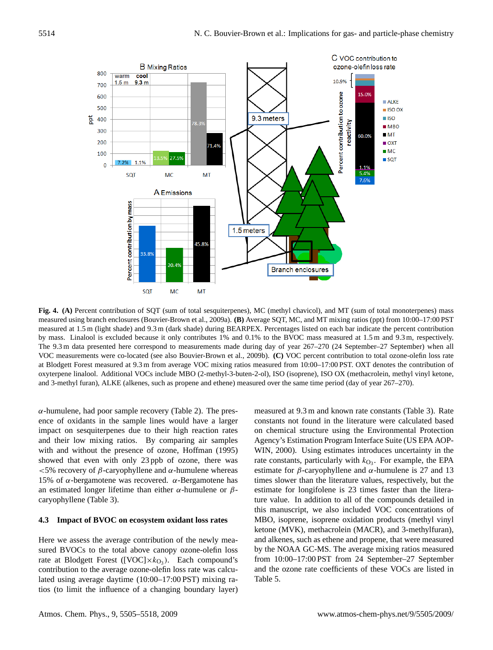

Fig. 4 measured using branch enclosures (Bouvier-Brown et al., 2009a). **(B)** Average SQT, MC, and MT mixing ratios (ppt) from 10:00–17:00 PST **Fig. 4. (A)** Percent contribution of SQT (sum of total sesquiterpenes), MC (methyl chavicol), and MT (sum of total monoterpenes) mass measured at 1.5 m (light shade) and 9.3 m (dark shade) during BEARPEX. Percentages listed on each bar indicate the percent contribution by mass. Linalool is excluded because it only contributes 1% and 0.1% to the BVOC mass measured at 1.5 m and 9.3 m, respectively. The 9.3 m data presented here correspond to measurements made during day of year 267–270 (24 September–27 September) when all VOC measurements were co-located (see also Bouvier-Brown et al., 2009b). **(C)** VOC percent contribution to total ozone-olefin loss rate at Blodgett Forest measured at 9.3 m from average VOC mixing ratios measured from 10:00–17:00 PST. OXT denotes the contribution of oxyterpene linalool. Additional VOCs include MBO (2-methyl-3-buten-2-ol), ISO (isoprene), ISO OX (methacrolein, methyl vinyl ketone, and 3-methyl furan), ALKE (alkenes, such as propene and ethene) measured over the same time period (day of year 267–270).

 $\alpha$ -humulene, had poor sample recovery (Table 2). The presence of oxidants in the sample lines would have a larger impact on sesquiterpenes due to their high reaction rates and their low mixing ratios. By comparing air samples with and without the presence of ozone, Hoffman (1995) showed that even with only 23 ppb of ozone, there was  $<$  5% recovery of β-caryophyllene and α-humulene whereas 15% of α-bergamotene was recovered. α-Bergamotene has an estimated longer lifetime than either  $\alpha$ -humulene or  $\beta$ caryophyllene (Table 3).

## **4.3 Impact of BVOC on ecosystem oxidant loss rates**

Here we assess the average contribution of the newly measured BVOCs to the total above canopy ozone-olefin loss rate at Blodgett Forest ([VOC] $\times k_{\text{O}_3}$ ). Each compound's contribution to the average ozone-olefin loss rate was calculated using average daytime (10:00–17:00 PST) mixing ratios (to limit the influence of a changing boundary layer)

measured at 9.3 m and known rate constants (Table 3). Rate constants not found in the literature were calculated based on chemical structure using the Environmental Protection Agency's Estimation Program Interface Suite (US EPA AOP-WIN, 2000). Using estimates introduces uncertainty in the rate constants, particularly with  $k_{\text{O}_3}$ . For example, the EPA estimate for  $\beta$ -caryophyllene and  $\alpha$ -humulene is 27 and 13 times slower than the literature values, respectively, but the estimate for longifolene is 23 times faster than the literature value. In addition to all of the compounds detailed in this manuscript, we also included VOC concentrations of MBO, isoprene, isoprene oxidation products (methyl vinyl ketone (MVK), methacrolein (MACR), and 3-methylfuran), and alkenes, such as ethene and propene, that were measured by the NOAA GC-MS. The average mixing ratios measured from 10:00–17:00 PST from 24 September–27 September and the ozone rate coefficients of these VOCs are listed in Table 5.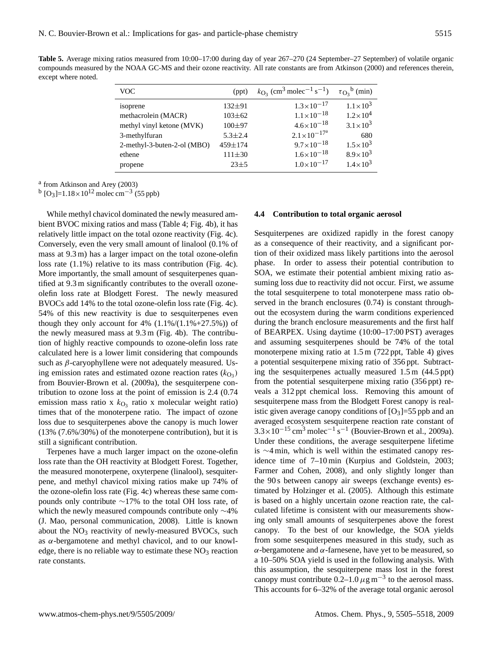**Table 5.** Average mixing ratios measured from 10:00–17:00 during day of year 267–270 (24 September–27 September) of volatile organic compounds measured by the NOAA GC-MS and their ozone reactivity. All rate constants are from Atkinson (2000) and references therein, except where noted.

| <b>VOC</b>                  | (ppt)         | $k_{\text{O}_3}$ (cm <sup>3</sup> molec <sup>-1</sup> s <sup>-1</sup> ) | $\tau_{\text{O}_3}^{\text{b}}$ (min) |
|-----------------------------|---------------|-------------------------------------------------------------------------|--------------------------------------|
| isoprene                    | $132 + 91$    | $1.3 \times 10^{-17}$                                                   | $1.1 \times 10^3$                    |
| methacrolein (MACR)         | $103 \pm 62$  | $1.1 \times 10^{-18}$                                                   | $1.2 \times 10^{4}$                  |
| methyl vinyl ketone (MVK)   | $100 + 97$    | $4.6 \times 10^{-18}$                                                   | $3.1 \times 10^{3}$                  |
| 3-methylfuran               | $5.3 \pm 2.4$ | $2.1 \times 10^{-17a}$                                                  | 680                                  |
| 2-methyl-3-buten-2-ol (MBO) | 459±174       | $9.7 \times 10^{-18}$                                                   | $1.5 \times 10^{3}$                  |
| ethene                      | $111 + 30$    | $1.6 \times 10^{-18}$                                                   | $8.9 \times 10^{3}$                  |
| propene                     | $23 + 5$      | $1.0\times10^{-17}$                                                     | $1.4 \times 10^{3}$                  |

a from Atkinson and Arey (2003)

<sup>b</sup> [O<sub>3</sub>]=1.18×10<sup>12</sup> molec cm<sup>-3</sup> (55 ppb)

While methyl chavicol dominated the newly measured ambient BVOC mixing ratios and mass (Table 4; Fig. 4b), it has relatively little impact on the total ozone reactivity (Fig. 4c). Conversely, even the very small amount of linalool (0.1% of mass at 9.3 m) has a larger impact on the total ozone-olefin loss rate (1.1%) relative to its mass contribution (Fig. 4c). More importantly, the small amount of sesquiterpenes quantified at 9.3 m significantly contributes to the overall ozoneolefin loss rate at Blodgett Forest. The newly measured BVOCs add 14% to the total ozone-olefin loss rate (Fig. 4c). 54% of this new reactivity is due to sesquiterpenes even though they only account for  $4\%$   $(1.1\%/1.1\% + 27.5\%)$  of the newly measured mass at 9.3 m (Fig. 4b). The contribution of highly reactive compounds to ozone-olefin loss rate calculated here is a lower limit considering that compounds such as  $\beta$ -caryophyllene were not adequately measured. Using emission rates and estimated ozone reaction rates  $(k_{\text{O}_3})$ from Bouvier-Brown et al. (2009a), the sesquiterpene contribution to ozone loss at the point of emission is 2.4 (0.74 emission mass ratio x  $k_{\text{O}_3}$  ratio x molecular weight ratio) times that of the monoterpene ratio. The impact of ozone loss due to sesquiterpenes above the canopy is much lower (13% (7.6%/30%) of the monoterpene contribution), but it is still a significant contribution.

Terpenes have a much larger impact on the ozone-olefin loss rate than the OH reactivity at Blodgett Forest. Together, the measured monoterpene, oxyterpene (linalool), sesquiterpene, and methyl chavicol mixing ratios make up 74% of the ozone-olefin loss rate (Fig. 4c) whereas these same compounds only contribute ∼17% to the total OH loss rate, of which the newly measured compounds contribute only ∼4% (J. Mao, personal communication, 2008). Little is known about the  $NO<sub>3</sub>$  reactivity of newly-measured BVOCs, such as  $\alpha$ -bergamotene and methyl chavicol, and to our knowledge, there is no reliable way to estimate these  $NO<sub>3</sub>$  reaction rate constants.

#### **4.4 Contribution to total organic aerosol**

Sesquiterpenes are oxidized rapidly in the forest canopy as a consequence of their reactivity, and a significant portion of their oxidized mass likely partitions into the aerosol phase. In order to assess their potential contribution to SOA, we estimate their potential ambient mixing ratio assuming loss due to reactivity did not occur. First, we assume the total sesquiterpene to total monoterpene mass ratio observed in the branch enclosures (0.74) is constant throughout the ecosystem during the warm conditions experienced during the branch enclosure measurements and the first half of BEARPEX. Using daytime (10:00–17:00 PST) averages and assuming sesquiterpenes should be 74% of the total monoterpene mixing ratio at 1.5 m (722 ppt, Table 4) gives a potential sesquiterpene mixing ratio of 356 ppt. Subtracting the sesquiterpenes actually measured 1.5 m (44.5 ppt) from the potential sesquiterpene mixing ratio (356 ppt) reveals a 312 ppt chemical loss. Removing this amount of sesquiterpene mass from the Blodgett Forest canopy is realistic given average canopy conditions of  $[O_3] = 55$  ppb and an averaged ecosystem sesquiterpene reaction rate constant of  $3.3 \times 10^{-15}$  cm<sup>3</sup> molec<sup>-1</sup> s<sup>-1</sup> (Bouvier-Brown et al., 2009a). Under these conditions, the average sesquiterpene lifetime is ∼4 min, which is well within the estimated canopy residence time of 7–10 min (Kurpius and Goldstein, 2003; Farmer and Cohen, 2008), and only slightly longer than the 90 s between canopy air sweeps (exchange events) estimated by Holzinger et al. (2005). Although this estimate is based on a highly uncertain ozone reaction rate, the calculated lifetime is consistent with our measurements showing only small amounts of sesquiterpenes above the forest canopy. To the best of our knowledge, the SOA yields from some sesquiterpenes measured in this study, such as α-bergamotene and α-farnesene, have yet to be measured, so a 10–50% SOA yield is used in the following analysis. With this assumption, the sesquiterpene mass lost in the forest canopy must contribute  $0.2-1.0 \mu g m^{-3}$  to the aerosol mass. This accounts for 6–32% of the average total organic aerosol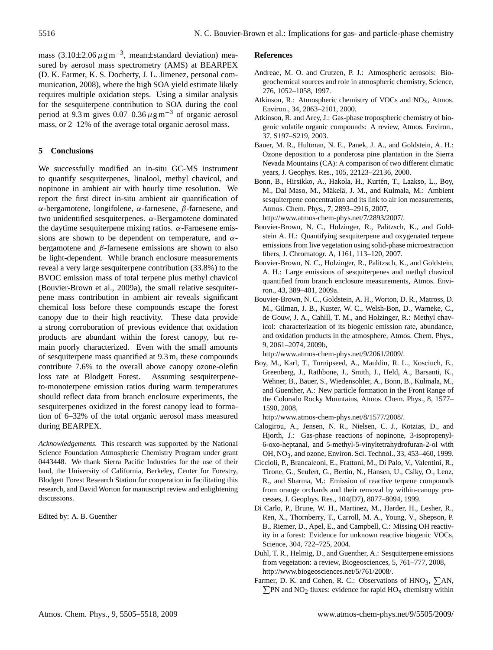mass  $(3.10\pm2.06 \,\mu g m^{-3})$ , mean $\pm$ standard deviation) measured by aerosol mass spectrometry (AMS) at BEARPEX (D. K. Farmer, K. S. Docherty, J. L. Jimenez, personal communication, 2008), where the high SOA yield estimate likely requires multiple oxidation steps. Using a similar analysis for the sesquiterpene contribution to SOA during the cool period at 9.3 m gives  $0.07-0.36 \,\mu\text{g m}^{-3}$  of organic aerosol mass, or 2–12% of the average total organic aerosol mass.

## **5 Conclusions**

We successfully modified an in-situ GC-MS instrument to quantify sesquiterpenes, linalool, methyl chavicol, and nopinone in ambient air with hourly time resolution. We report the first direct in-situ ambient air quantification of α-bergamotene, longifolene, α-farnesene, β-farnesene, and two unidentified sesquiterpenes. α-Bergamotene dominated the daytime sesquiterpene mixing ratios.  $\alpha$ -Farnesene emissions are shown to be dependent on temperature, and  $\alpha$ bergamotene and  $\beta$ -farnesene emissions are shown to also be light-dependent. While branch enclosure measurements reveal a very large sesquiterpene contribution (33.8%) to the BVOC emission mass of total terpene plus methyl chavicol (Bouvier-Brown et al., 2009a), the small relative sesquiterpene mass contribution in ambient air reveals significant chemical loss before these compounds escape the forest canopy due to their high reactivity. These data provide a strong corroboration of previous evidence that oxidation products are abundant within the forest canopy, but remain poorly characterized. Even with the small amounts of sesquiterpene mass quantified at 9.3 m, these compounds contribute 7.6% to the overall above canopy ozone-olefin loss rate at Blodgett Forest. Assuming sesquiterpeneto-monoterpene emission ratios during warm temperatures should reflect data from branch enclosure experiments, the sesquiterpenes oxidized in the forest canopy lead to formation of 6–32% of the total organic aerosol mass measured during BEARPEX.

*Acknowledgements.* This research was supported by the National Science Foundation Atmospheric Chemistry Program under grant 0443448. We thank Sierra Pacific Industries for the use of their land, the University of California, Berkeley, Center for Forestry, Blodgett Forest Research Station for cooperation in facilitating this research, and David Worton for manuscript review and enlightening discussions.

Edited by: A. B. Guenther

## **References**

- Andreae, M. O. and Crutzen, P. J.: Atmospheric aerosols: Biogeochemical sources and role in atmospheric chemistry, Science, 276, 1052–1058, 1997.
- Atkinson, R.: Atmospheric chemistry of VOCs and  $NO<sub>x</sub>$ , Atmos. Environ., 34, 2063–2101, 2000.
- Atkinson, R. and Arey, J.: Gas-phase tropospheric chemistry of biogenic volatile organic compounds: A review, Atmos. Environ., 37, S197–S219, 2003.
- Bauer, M. R., Hultman, N. E., Panek, J. A., and Goldstein, A. H.: Ozone deposition to a ponderosa pine plantation in the Sierra Nevada Mountains (CA): A comparison of two different climatic years, J. Geophys. Res., 105, 22123–22136, 2000.
- Bonn, B., Hirsikko, A., Hakola, H., Kurtén, T., Laakso, L., Boy, M., Dal Maso, M., Mäkelä, J. M., and Kulmala, M.: Ambient sesquiterpene concentration and its link to air ion measurements, Atmos. Chem. Phys., 7, 2893–2916, 2007,

[http://www.atmos-chem-phys.net/7/2893/2007/.](http://www.atmos-chem-phys.net/7/2893/2007/)

- Bouvier-Brown, N. C., Holzinger, R., Palitzsch, K., and Goldstein A. H.: Quantifying sesquiterpene and oxygenated terpene emissions from live vegetation using solid-phase microextraction fibers, J. Chromatogr. A, 1161, 113–120, 2007.
- Bouvier-Brown, N. C., Holzinger, R., Palitzsch, K., and Goldstein, A. H.: Large emissions of sesquiterpenes and methyl chavicol quantified from branch enclosure measurements, Atmos. Environ., 43, 389–401, 2009a.
- Bouvier-Brown, N. C., Goldstein, A. H., Worton, D. R., Matross, D. M., Gilman, J. B., Kuster, W. C., Welsh-Bon, D., Warneke, C., de Gouw, J. A., Cahill, T. M., and Holzinger, R.: Methyl chavicol: characterization of its biogenic emission rate, abundance, and oxidation products in the atmosphere, Atmos. Chem. Phys., 9, 2061–2074, 2009b,

[http://www.atmos-chem-phys.net/9/2061/2009/.](http://www.atmos-chem-phys.net/9/2061/2009/)

Boy, M., Karl, T., Turnipseed, A., Mauldin, R. L., Kosciuch, E., Greenberg, J., Rathbone, J., Smith, J., Held, A., Barsanti, K., Wehner, B., Bauer, S., Wiedensohler, A., Bonn, B., Kulmala, M., and Guenther, A.: New particle formation in the Front Range of the Colorado Rocky Mountains, Atmos. Chem. Phys., 8, 1577– 1590, 2008,

[http://www.atmos-chem-phys.net/8/1577/2008/.](http://www.atmos-chem-phys.net/8/1577/2008/)

- Calogirou, A., Jensen, N. R., Nielsen, C. J., Kotzias, D., and Hjorth, J.: Gas-phase reactions of nopinone, 3-isopropenyl-6-oxo-heptanal, and 5-methyl-5-vinyltetrahydrofuran-2-ol with OH, NO<sub>3</sub>, and ozone, Environ. Sci. Technol., 33, 453–460, 1999.
- Ciccioli, P., Brancaleoni, E., Frattoni, M., Di Palo, V., Valentini, R., Tirone, G., Seufert, G., Bertin, N., Hansen, U., Csiky, O., Lenz, R., and Sharma, M.: Emission of reactive terpene compounds from orange orchards and their removal by within-canopy processes, J. Geophys. Res., 104(D7), 8077–8094, 1999.
- Di Carlo, P., Brune, W. H., Martinez, M., Harder, H., Lesher, R., Ren, X., Thornberry, T., Carroll, M. A., Young, V., Shepson, P. B., Riemer, D., Apel, E., and Campbell, C.: Missing OH reactivity in a forest: Evidence for unknown reactive biogenic VOCs, Science, 304, 722–725, 2004.
- Duhl, T. R., Helmig, D., and Guenther, A.: Sesquiterpene emissions from vegetation: a review, Biogeosciences, 5, 761–777, 2008, [http://www.biogeosciences.net/5/761/2008/.](http://www.biogeosciences.net/5/761/2008/)
- Farmer, D. K. and Cohen, R. C.: Observations of  $HNO<sub>3</sub>$ ,  $\Sigma AN$ ,  $\Sigma$ PN and NO<sub>2</sub> fluxes: evidence for rapid HO<sub>x</sub> chemistry within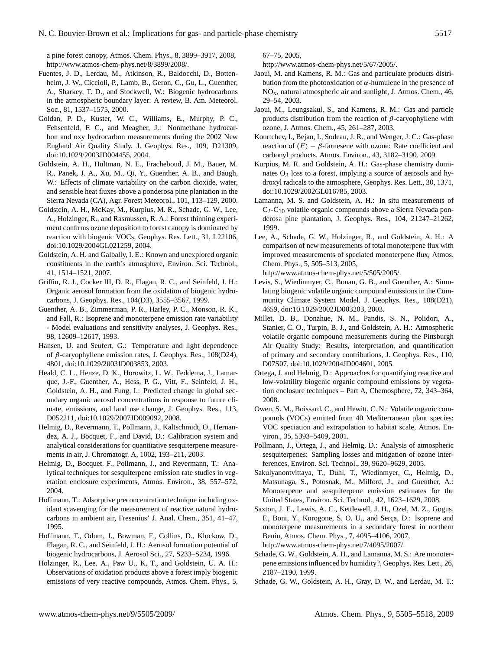a pine forest canopy, Atmos. Chem. Phys., 8, 3899–3917, 2008, [http://www.atmos-chem-phys.net/8/3899/2008/.](http://www.atmos-chem-phys.net/8/3899/2008/)

- Fuentes, J. D., Lerdau, M., Atkinson, R., Baldocchi, D., Bottenheim, J. W., Ciccioli, P., Lamb, B., Geron, C., Gu, L., Guenther, A., Sharkey, T. D., and Stockwell, W.: Biogenic hydrocarbons in the atmospheric boundary layer: A review, B. Am. Meteorol. Soc., 81, 1537–1575, 2000.
- Goldan, P. D., Kuster, W. C., Williams, E., Murphy, P. C., Fehsenfeld, F. C., and Meagher, J.: Nonmethane hydrocarbon and oxy hydrocarbon measurements during the 2002 New England Air Quality Study, J. Geophys. Res., 109, D21309, doi:10.1029/2003JD004455, 2004.
- Goldstein, A. H., Hultman, N. E., Fracheboud, J. M., Bauer, M. R., Panek, J. A., Xu, M., Qi, Y., Guenther, A. B., and Baugh, W.: Effects of climate variability on the carbon dioxide, water, and sensible heat fluxes above a ponderosa pine plantation in the Sierra Nevada (CA), Agr. Forest Meteorol., 101, 113–129, 2000.
- Goldstein, A. H., McKay, M., Kurpius, M. R., Schade, G. W., Lee, A., Holzinger, R., and Rasmussen, R. A.: Forest thinning experiment confirms ozone deposition to forest canopy is dominated by reaction with biogenic VOCs, Geophys. Res. Lett., 31, L22106, doi:10.1029/2004GL021259, 2004.
- Goldstein, A. H. and Galbally, I. E.: Known and unexplored organic constituents in the earth's atmosphere, Environ. Sci. Technol., 41, 1514–1521, 2007.
- Griffin, R. J., Cocker III, D. R., Flagan, R. C., and Seinfeld, J. H.: Organic aerosol formation from the oxidation of biogenic hydrocarbons, J. Geophys. Res., 104(D3), 3555–3567, 1999.
- Guenther, A. B., Zimmerman, P. R., Harley, P. C., Monson, R. K., and Fall, R.: Isoprene and monoterpene emission rate variability - Model evaluations and sensitivity analyses, J. Geophys. Res., 98, 12609–12617, 1993.
- Hansen, U. and Seufert, G.: Temperature and light dependence of β-caryophyllene emission rates, J. Geophys. Res., 108(D24), 4801, doi:10.1029/2003JD003853, 2003.
- Heald, C. L., Henze, D. K., Horowitz, L. W., Feddema, J., Lamarque, J.-F., Guenther, A., Hess, P. G., Vitt, F., Seinfeld, J. H., Goldstein, A. H., and Fung, I.: Predicted change in global secondary organic aerosol concentrations in response to future climate, emissions, and land use change, J. Geophys. Res., 113, D052211, doi:10.1029/2007JD009092, 2008.
- Helmig, D., Revermann, T., Pollmann, J., Kaltschmidt, O., Hernandez, A. J., Bocquet, F., and David, D.: Calibration system and analytical considerations for quantitative sesquiterpene measurements in air, J. Chromatogr. A, 1002, 193–211, 2003.
- Helmig, D., Bocquet, F., Pollmann, J., and Revermann, T.: Analytical techniques for sesquiterpene emission rate studies in vegetation enclosure experiments, Atmos. Environ., 38, 557–572, 2004.
- Hoffmann, T.: Adsorptive preconcentration technique including oxidant scavenging for the measurement of reactive natural hydrocarbons in ambient air, Fresenius' J. Anal. Chem., 351, 41–47, 1995.
- Hoffmann, T., Odum, J., Bowman, F., Collins, D., Klockow, D., Flagan, R. C., and Seinfeld, J. H.: Aerosol formation potential of biogenic hydrocarbons, J. Aerosol Sci., 27, S233–S234, 1996.
- Holzinger, R., Lee, A., Paw U., K. T., and Goldstein, U. A. H.: Observations of oxidation products above a forest imply biogenic emissions of very reactive compounds, Atmos. Chem. Phys., 5,

67–75, 2005,

[http://www.atmos-chem-phys.net/5/67/2005/.](http://www.atmos-chem-phys.net/5/67/2005/)

- Jaoui, M. and Kamens, R. M.: Gas and particulate products distribution from the photooxidation of  $\alpha$ -humulene in the presence of  $NO<sub>x</sub>$ , natural atmospheric air and sunlight, J. Atmos. Chem., 46, 29–54, 2003.
- Jaoui, M., Leungsakul, S., and Kamens, R. M.: Gas and particle products distribution from the reaction of  $β$ -caryophyllene with ozone, J. Atmos. Chem., 45, 261–287, 2003.
- Kourtchev, I., Bejan, I., Sodeau, J. R., and Wenger, J. C.: Gas-phase reaction of  $(E) - \beta$ -farnesene with ozone: Rate coefficient and carbonyl products, Atmos. Environ., 43, 3182–3190, 2009.
- Kurpius, M. R. and Goldstein, A. H.: Gas-phase chemistry dominates  $O_3$  loss to a forest, implying a source of aerosols and hydroxyl radicals to the atmosphere, Geophys. Res. Lett., 30, 1371, doi:10.1029/2002GL016785, 2003.
- Lamanna, M. S. and Goldstein, A. H.: In situ measurements of  $C_2$ -C<sub>10</sub> volatile organic compounds above a Sierra Nevada ponderosa pine plantation, J. Geophys. Res., 104, 21247–21262, 1999.
- Lee, A., Schade, G. W., Holzinger, R., and Goldstein, A. H.: A comparison of new measurements of total monoterpene flux with improved measurements of speciated monoterpene flux, Atmos. Chem. Phys., 5, 505–513, 2005,

[http://www.atmos-chem-phys.net/5/505/2005/.](http://www.atmos-chem-phys.net/5/505/2005/)

- Levis, S., Wiedinmyer, C., Bonan, G. B., and Guenther, A.: Simulating biogenic volatile organic compound emissions in the Community Climate System Model, J. Geophys. Res., 108(D21), 4659, doi:10.1029/2002JD003203, 2003.
- Millet, D. B., Donahue, N. M., Pandis, S. N., Polidori, A., Stanier, C. O., Turpin, B. J., and Goldstein, A. H.: Atmospheric volatile organic compound measurements during the Pittsburgh Air Quality Study: Results, interpretation, and quantification of primary and secondary contributions, J. Geophys. Res., 110, D07S07, doi:10.1029/2004JD004601, 2005.
- Ortega, J. and Helmig, D.: Approaches for quantifying reactive and low-volatility biogenic organic compound emissions by vegetation enclosure techniques – Part A, Chemosphere, 72, 343–364, 2008.
- Owen, S. M., Boissard, C., and Hewitt, C. N.: Volatile organic compounds (VOCs) emitted from 40 Mediterranean plant species: VOC speciation and extrapolation to habitat scale, Atmos. Environ., 35, 5393–5409, 2001.
- Pollmann, J., Ortega, J., and Helmig, D.: Analysis of atmospheric sesquiterpenes: Sampling losses and mitigation of ozone interferences, Environ. Sci. Technol., 39, 9620–9629, 2005.
- Sakulyanontvittaya, T., Duhl, T., Wiedinmyer, C., Helmig, D., Matsunaga, S., Potosnak, M., Milford, J., and Guenther, A.: Monoterpene and sesquiterpene emission estimates for the United States, Environ. Sci. Technol., 42, 1623–1629, 2008.
- Saxton, J. E., Lewis, A. C., Kettlewell, J. H., Ozel, M. Z., Gogus, F., Boni, Y., Korogone, S. O. U., and Serça, D.: Isoprene and monoterpene measurements in a secondary forest in northern Benin, Atmos. Chem. Phys., 7, 4095–4106, 2007, [http://www.atmos-chem-phys.net/7/4095/2007/.](http://www.atmos-chem-phys.net/7/4095/2007/)
- Schade, G. W., Goldstein, A. H., and Lamanna, M. S.: Are monoterpene emissions influenced by humidity?, Geophys. Res. Lett., 26, 2187–2190, 1999.
- Schade, G. W., Goldstein, A. H., Gray, D. W., and Lerdau, M. T.: